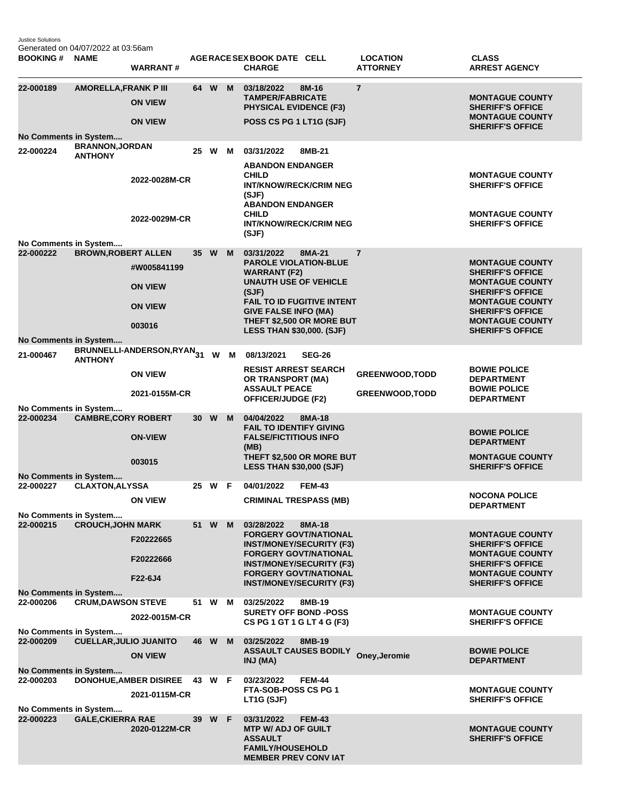Justice Solutions Generated on 04/07/2022 at 03:56am

| <b>BOOKING#</b>                                                                                              | <b>NAME</b>                              | <b>WARRANT#</b>                           |                 |        |   | AGERACE SEX BOOK DATE CELL<br><b>CHARGE</b>                                                            | <b>LOCATION</b><br><b>ATTORNEY</b> | <b>CLASS</b><br><b>ARREST AGENCY</b>                                        |  |
|--------------------------------------------------------------------------------------------------------------|------------------------------------------|-------------------------------------------|-----------------|--------|---|--------------------------------------------------------------------------------------------------------|------------------------------------|-----------------------------------------------------------------------------|--|
| 22-000189                                                                                                    | <b>AMORELLA, FRANK P III</b>             | <b>ON VIEW</b>                            |                 | 64 W M |   | 03/18/2022<br>8M-16<br><b>TAMPER/FABRICATE</b><br><b>PHYSICAL EVIDENCE (F3)</b>                        | $\overline{7}$                     | <b>MONTAGUE COUNTY</b><br><b>SHERIFF'S OFFICE</b><br><b>MONTAGUE COUNTY</b> |  |
|                                                                                                              |                                          | <b>ON VIEW</b>                            |                 |        |   | POSS CS PG 1 LT1G (SJF)                                                                                |                                    | <b>SHERIFF'S OFFICE</b>                                                     |  |
| No Comments in System                                                                                        |                                          |                                           |                 |        |   |                                                                                                        |                                    |                                                                             |  |
| 22-000224                                                                                                    | <b>BRANNON, JORDAN</b><br><b>ANTHONY</b> |                                           |                 | 25 W   | M | 03/31/2022<br>8MB-21<br><b>ABANDON ENDANGER</b>                                                        |                                    |                                                                             |  |
|                                                                                                              |                                          | 2022-0028M-CR                             |                 |        |   | <b>CHILD</b><br><b>INT/KNOW/RECK/CRIM NEG</b><br>(SJF)<br><b>ABANDON ENDANGER</b><br><b>CHILD</b>      |                                    | <b>MONTAGUE COUNTY</b><br><b>SHERIFF'S OFFICE</b><br><b>MONTAGUE COUNTY</b> |  |
|                                                                                                              |                                          | 2022-0029M-CR                             |                 |        |   | <b>INT/KNOW/RECK/CRIM NEG</b><br>(SJF)                                                                 |                                    | <b>SHERIFF'S OFFICE</b>                                                     |  |
| No Comments in System                                                                                        |                                          |                                           |                 |        |   |                                                                                                        |                                    |                                                                             |  |
| 22-000222                                                                                                    | <b>BROWN, ROBERT ALLEN</b>               |                                           |                 | 35 W   | M | 03/31/2022<br>8MA-21                                                                                   | $\overline{7}$                     |                                                                             |  |
|                                                                                                              |                                          | #W005841199                               |                 |        |   | <b>PAROLE VIOLATION-BLUE</b><br><b>WARRANT (F2)</b><br><b>UNAUTH USE OF VEHICLE</b>                    |                                    | <b>MONTAGUE COUNTY</b><br><b>SHERIFF'S OFFICE</b><br><b>MONTAGUE COUNTY</b> |  |
|                                                                                                              |                                          | <b>ON VIEW</b>                            |                 |        |   | (SJF)<br><b>FAIL TO ID FUGITIVE INTENT</b>                                                             |                                    | <b>SHERIFF'S OFFICE</b><br><b>MONTAGUE COUNTY</b>                           |  |
|                                                                                                              |                                          | <b>ON VIEW</b>                            |                 |        |   | <b>GIVE FALSE INFO (MA)</b><br>THEFT \$2,500 OR MORE BUT                                               |                                    | <b>SHERIFF'S OFFICE</b><br><b>MONTAGUE COUNTY</b>                           |  |
|                                                                                                              |                                          | 003016                                    |                 |        |   | <b>LESS THAN \$30,000. (SJF)</b>                                                                       |                                    | <b>SHERIFF'S OFFICE</b>                                                     |  |
| No Comments in System                                                                                        |                                          |                                           |                 |        |   |                                                                                                        |                                    |                                                                             |  |
| 21-000467                                                                                                    | <b>ANTHONY</b>                           | BRUNNELLI-ANDERSON,RYAN <sub>31</sub> W M |                 |        |   | 08/13/2021<br><b>SEG-26</b><br><b>RESIST ARREST SEARCH</b>                                             |                                    | <b>BOWIE POLICE</b>                                                         |  |
|                                                                                                              |                                          | <b>ON VIEW</b>                            |                 |        |   | OR TRANSPORT (MA)<br><b>ASSAULT PEACE</b>                                                              | <b>GREENWOOD, TODD</b>             | <b>DEPARTMENT</b><br><b>BOWIE POLICE</b>                                    |  |
|                                                                                                              | No Comments in System                    | 2021-0155M-CR                             |                 |        |   | <b>OFFICER/JUDGE (F2)</b>                                                                              | <b>GREENWOOD, TODD</b>             | <b>DEPARTMENT</b>                                                           |  |
| 22-000234                                                                                                    | <b>CAMBRE, CORY ROBERT</b>               |                                           | 30 <sub>1</sub> | W      | M | 04/04/2022<br>8MA-18                                                                                   |                                    |                                                                             |  |
|                                                                                                              |                                          | <b>ON-VIEW</b>                            |                 |        |   | <b>FAIL TO IDENTIFY GIVING</b><br><b>FALSE/FICTITIOUS INFO</b>                                         |                                    | <b>BOWIE POLICE</b><br><b>DEPARTMENT</b>                                    |  |
|                                                                                                              |                                          | 003015                                    |                 |        |   | (MB)<br>THEFT \$2,500 OR MORE BUT<br><b>LESS THAN \$30,000 (SJF)</b>                                   |                                    | <b>MONTAGUE COUNTY</b><br><b>SHERIFF'S OFFICE</b>                           |  |
|                                                                                                              | No Comments in System                    |                                           |                 |        |   |                                                                                                        |                                    |                                                                             |  |
| 22-000227                                                                                                    | <b>CLAXTON, ALYSSA</b>                   |                                           |                 | 25 W F |   | 04/01/2022<br><b>FEM-43</b>                                                                            |                                    |                                                                             |  |
|                                                                                                              |                                          | <b>ON VIEW</b>                            |                 |        |   | <b>CRIMINAL TRESPASS (MB)</b>                                                                          |                                    | <b>NOCONA POLICE</b><br><b>DEPARTMENT</b>                                   |  |
| No Comments in System<br>22-000215                                                                           | <b>CROUCH, JOHN MARK</b>                 |                                           | 51              | W      | M | 03/28/2022<br>8MA-18                                                                                   |                                    |                                                                             |  |
|                                                                                                              |                                          | F20222665                                 |                 |        |   | <b>FORGERY GOVT/NATIONAL</b><br><b>INST/MONEY/SECURITY (F3)</b>                                        |                                    | <b>MONTAGUE COUNTY</b><br><b>SHERIFF'S OFFICE</b>                           |  |
|                                                                                                              |                                          | F20222666                                 |                 |        |   | <b>FORGERY GOVT/NATIONAL</b><br><b>INST/MONEY/SECURITY (F3)</b><br><b>FORGERY GOVT/NATIONAL</b>        |                                    | <b>MONTAGUE COUNTY</b><br><b>SHERIFF'S OFFICE</b><br><b>MONTAGUE COUNTY</b> |  |
| No Comments in System                                                                                        |                                          | F22-6J4                                   |                 |        |   | <b>INST/MONEY/SECURITY (F3)</b>                                                                        |                                    | <b>SHERIFF'S OFFICE</b>                                                     |  |
| 22-000206                                                                                                    | <b>CRUM, DAWSON STEVE</b>                |                                           |                 | 51 W   | M | 03/25/2022<br>8MB-19                                                                                   |                                    |                                                                             |  |
|                                                                                                              |                                          | 2022-0015M-CR                             |                 |        |   | <b>SURETY OFF BOND -POSS</b><br>CS PG 1 GT 1 G LT 4 G (F3)                                             |                                    | <b>MONTAGUE COUNTY</b><br><b>SHERIFF'S OFFICE</b>                           |  |
|                                                                                                              | No Comments in System                    |                                           |                 |        |   |                                                                                                        |                                    |                                                                             |  |
| 22-000209                                                                                                    | <b>CUELLAR, JULIO JUANITO</b>            | <b>ON VIEW</b>                            |                 | 46 W M |   | 03/25/2022<br>8MB-19<br><b>ASSAULT CAUSES BODILY</b><br>INJ (MA)                                       | Oney, Jeromie                      | <b>BOWIE POLICE</b><br><b>DEPARTMENT</b>                                    |  |
| No Comments in System<br>22-000203<br><b>DONOHUE, AMBER DISIREE</b><br>43 W F<br>03/23/2022<br><b>FEM-44</b> |                                          |                                           |                 |        |   |                                                                                                        |                                    |                                                                             |  |
|                                                                                                              |                                          | 2021-0115M-CR                             |                 |        |   | FTA-SOB-POSS CS PG 1<br>LT1G (SJF)                                                                     |                                    | <b>MONTAGUE COUNTY</b><br><b>SHERIFF'S OFFICE</b>                           |  |
| No Comments in System                                                                                        |                                          |                                           |                 |        |   |                                                                                                        |                                    |                                                                             |  |
| 22-000223                                                                                                    | <b>GALE, CKIERRA RAE</b>                 | 2020-0122M-CR                             | <b>39</b>       | W F    |   | 03/31/2022<br><b>FEM-43</b><br><b>MTP W/ ADJ OF GUILT</b><br><b>ASSAULT</b><br><b>FAMILY/HOUSEHOLD</b> |                                    | <b>MONTAGUE COUNTY</b><br><b>SHERIFF'S OFFICE</b>                           |  |
|                                                                                                              |                                          |                                           |                 |        |   | <b>MEMBER PREV CONVIAT</b>                                                                             |                                    |                                                                             |  |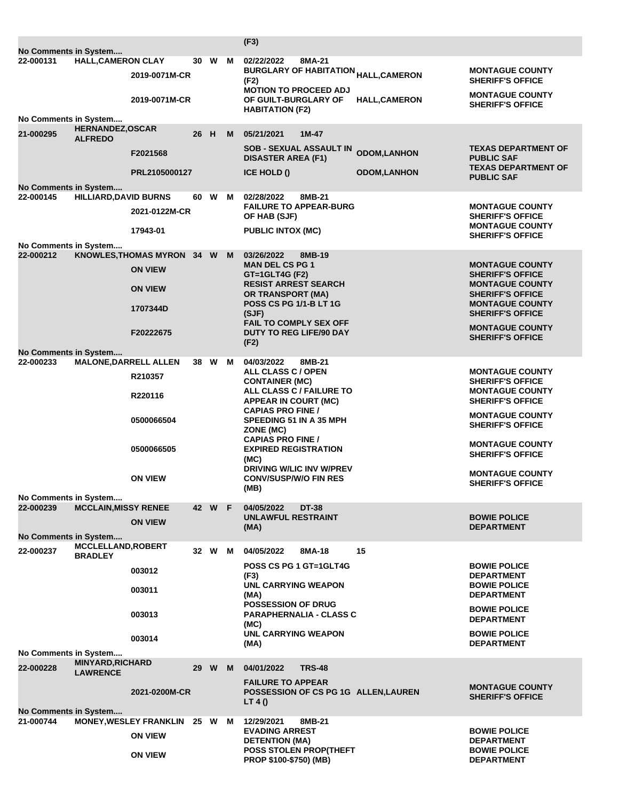|                                    |                                             |                                              |      |        |   | (F3)                                                          |                                          |                                                   |
|------------------------------------|---------------------------------------------|----------------------------------------------|------|--------|---|---------------------------------------------------------------|------------------------------------------|---------------------------------------------------|
| No Comments in System<br>22-000131 | <b>HALL, CAMERON CLAY</b>                   |                                              | 30 W |        | м | 02/22/2022<br>8MA-21                                          |                                          |                                                   |
|                                    |                                             | 2019-0071M-CR                                |      |        |   | <b>BURGLARY OF HABITATION <sub>HALL,</sub>CAMERON</b><br>(F2) |                                          | <b>MONTAGUE COUNTY</b><br><b>SHERIFF'S OFFICE</b> |
|                                    |                                             | 2019-0071M-CR                                |      |        |   | <b>MOTION TO PROCEED ADJ</b><br>OF GUILT-BURGLARY OF          | <b>HALL,CAMERON</b>                      | <b>MONTAGUE COUNTY</b><br><b>SHERIFF'S OFFICE</b> |
| No Comments in System              |                                             |                                              |      |        |   | <b>HABITATION (F2)</b>                                        |                                          |                                                   |
|                                    | <b>HERNANDEZ, OSCAR</b>                     |                                              |      |        |   |                                                               |                                          |                                                   |
| 21-000295                          | <b>ALFREDO</b>                              | F2021568                                     | 26 H |        | M | 05/21/2021<br>$1M-47$<br><b>SOB - SEXUAL ASSAULT IN</b>       |                                          | <b>TEXAS DEPARTMENT OF</b>                        |
|                                    |                                             | PRL2105000127                                |      |        |   | <b>DISASTER AREA (F1)</b><br><b>ICE HOLD ()</b>               | <b>ODOM,LANHON</b><br><b>ODOM,LANHON</b> | <b>PUBLIC SAF</b><br><b>TEXAS DEPARTMENT OF</b>   |
|                                    |                                             |                                              |      |        |   |                                                               |                                          | <b>PUBLIC SAF</b>                                 |
| No Comments in System<br>22-000145 | <b>HILLIARD, DAVID BURNS</b>                |                                              | 60 W |        | м | 02/28/2022<br>8MB-21                                          |                                          |                                                   |
|                                    |                                             |                                              |      |        |   | <b>FAILURE TO APPEAR-BURG</b>                                 |                                          | <b>MONTAGUE COUNTY</b>                            |
|                                    |                                             | 2021-0122M-CR                                |      |        |   | <b>OF HAB (SJF)</b>                                           |                                          | <b>SHERIFF'S OFFICE</b><br><b>MONTAGUE COUNTY</b> |
|                                    |                                             | 17943-01                                     |      |        |   | <b>PUBLIC INTOX (MC)</b>                                      |                                          | <b>SHERIFF'S OFFICE</b>                           |
| No Comments in System              |                                             |                                              |      |        |   |                                                               |                                          |                                                   |
| 22-000212                          |                                             | KNOWLES, THOMAS MYRON 34 W<br><b>ON VIEW</b> |      |        | M | 03/26/2022<br>8MB-19<br><b>MAN DEL CS PG 1</b>                |                                          | <b>MONTAGUE COUNTY</b>                            |
|                                    |                                             | <b>ON VIEW</b>                               |      |        |   | GT=1GLT4G (F2)<br><b>RESIST ARREST SEARCH</b>                 |                                          | <b>SHERIFF'S OFFICE</b><br><b>MONTAGUE COUNTY</b> |
|                                    |                                             | 1707344D                                     |      |        |   | <b>OR TRANSPORT (MA)</b><br><b>POSS CS PG 1/1-B LT 1G</b>     |                                          | <b>SHERIFF'S OFFICE</b><br><b>MONTAGUE COUNTY</b> |
|                                    |                                             |                                              |      |        |   | (SJF)<br><b>FAIL TO COMPLY SEX OFF</b>                        |                                          | <b>SHERIFF'S OFFICE</b>                           |
|                                    |                                             | F20222675                                    |      |        |   | <b>DUTY TO REG LIFE/90 DAY</b><br>(F2)                        |                                          | <b>MONTAGUE COUNTY</b><br><b>SHERIFF'S OFFICE</b> |
| No Comments in System              |                                             |                                              |      |        |   |                                                               |                                          |                                                   |
| 22-000233                          | <b>MALONE, DARRELL ALLEN</b>                | R210357                                      |      | 38 W M |   | 04/03/2022<br>8MB-21<br>ALL CLASS C / OPEN                    |                                          | <b>MONTAGUE COUNTY</b>                            |
|                                    |                                             | R220116                                      |      |        |   | <b>CONTAINER (MC)</b><br>ALL CLASS C / FAILURE TO             |                                          | <b>SHERIFF'S OFFICE</b><br><b>MONTAGUE COUNTY</b> |
|                                    |                                             |                                              |      |        |   | APPEAR IN COURT (MC)<br><b>CAPIAS PRO FINE /</b>              |                                          | <b>SHERIFF'S OFFICE</b><br><b>MONTAGUE COUNTY</b> |
|                                    |                                             | 0500066504                                   |      |        |   | <b>SPEEDING 51 IN A 35 MPH</b><br>ZONE (MC)                   |                                          | <b>SHERIFF'S OFFICE</b>                           |
|                                    |                                             | 0500066505                                   |      |        |   | <b>CAPIAS PRO FINE /</b><br><b>EXPIRED REGISTRATION</b>       |                                          | <b>MONTAGUE COUNTY</b><br><b>SHERIFF'S OFFICE</b> |
|                                    |                                             |                                              |      |        |   | (MC)<br>DRIVING W/LIC INV W/PREV                              |                                          | <b>MONTAGUE COUNTY</b>                            |
|                                    |                                             | <b>ON VIEW</b>                               |      |        |   | <b>CONV/SUSP/W/O FIN RES</b><br>(MB)                          |                                          | <b>SHERIFF'S OFFICE</b>                           |
| No Comments in System              |                                             |                                              |      |        |   |                                                               |                                          |                                                   |
| 22-000239                          | <b>MCCLAIN, MISSY RENEE</b>                 |                                              |      | 42 W F |   | 04/05/2022<br><b>DT-38</b><br><b>UNLAWFUL RESTRAINT</b>       |                                          | <b>BOWIE POLICE</b>                               |
|                                    |                                             | <b>ON VIEW</b>                               |      |        |   | (MA)                                                          |                                          | <b>DEPARTMENT</b>                                 |
| No Comments in System              |                                             |                                              |      |        |   |                                                               |                                          |                                                   |
| 22-000237                          | <b>MCCLELLAND, ROBERT</b><br><b>BRADLEY</b> |                                              | 32 W |        | м | 04/05/2022<br>8MA-18                                          | 15                                       |                                                   |
|                                    |                                             | 003012                                       |      |        |   | POSS CS PG 1 GT=1GLT4G<br>(F3)                                |                                          | <b>BOWIE POLICE</b><br><b>DEPARTMENT</b>          |
|                                    |                                             | 003011                                       |      |        |   | <b>UNL CARRYING WEAPON</b><br>(MA)                            |                                          | <b>BOWIE POLICE</b><br><b>DEPARTMENT</b>          |
|                                    |                                             | 003013                                       |      |        |   | POSSESSION OF DRUG<br><b>PARAPHERNALIA - CLASS C</b>          |                                          | <b>BOWIE POLICE</b><br><b>DEPARTMENT</b>          |
|                                    |                                             | 003014                                       |      |        |   | (MC)<br><b>UNL CARRYING WEAPON</b>                            |                                          | <b>BOWIE POLICE</b>                               |
|                                    |                                             |                                              |      |        |   | (MA)                                                          |                                          | <b>DEPARTMENT</b>                                 |
| No Comments in System              |                                             |                                              |      |        |   |                                                               |                                          |                                                   |
| 22-000228                          | <b>MINYARD, RICHARD</b><br><b>LAWRENCE</b>  |                                              | 29 W |        | M | <b>TRS-48</b><br>04/01/2022<br><b>FAILURE TO APPEAR</b>       |                                          |                                                   |
|                                    |                                             | 2021-0200M-CR                                |      |        |   | POSSESSION OF CS PG 1G ALLEN, LAUREN<br>LT 4 $()$             |                                          | <b>MONTAGUE COUNTY</b><br><b>SHERIFF'S OFFICE</b> |
| No Comments in System              |                                             |                                              |      |        |   |                                                               |                                          |                                                   |
| 21-000744                          |                                             | <b>MONEY, WESLEY FRANKLIN</b>                | 25 W |        | м | 8MB-21<br>12/29/2021                                          |                                          |                                                   |
|                                    |                                             | <b>ON VIEW</b>                               |      |        |   | <b>EVADING ARREST</b><br><b>DETENTION (MA)</b>                |                                          | <b>BOWIE POLICE</b><br><b>DEPARTMENT</b>          |
|                                    |                                             | <b>ON VIEW</b>                               |      |        |   | <b>POSS STOLEN PROP(THEFT</b><br>PROP \$100-\$750) (MB)       |                                          | <b>BOWIE POLICE</b><br><b>DEPARTMENT</b>          |
|                                    |                                             |                                              |      |        |   |                                                               |                                          |                                                   |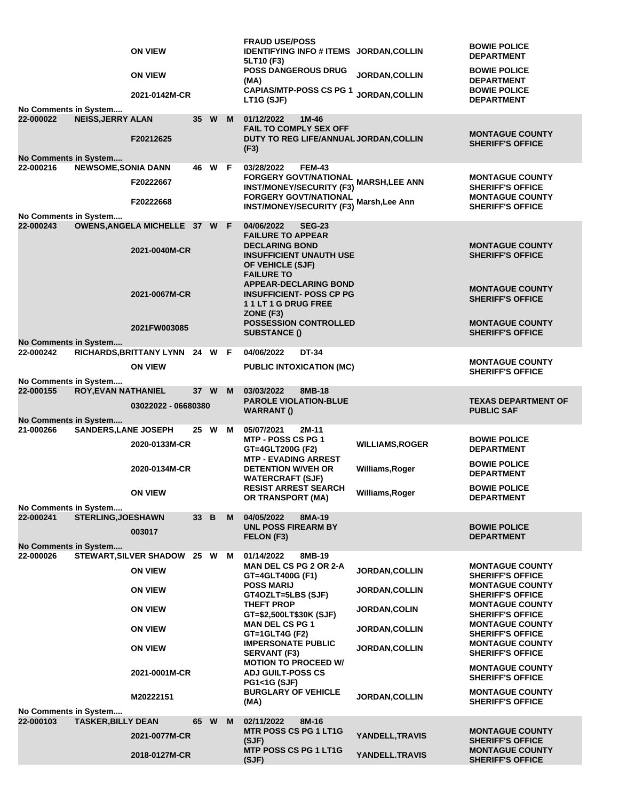|  |           |                                                      | <b>ON VIEW</b>                 |      |        |   | <b>FRAUD USE/POSS</b><br><b>IDENTIFYING INFO # ITEMS JORDAN, COLLIN</b>                                                      |                        | <b>BOWIE POLICE</b>                               |
|--|-----------|------------------------------------------------------|--------------------------------|------|--------|---|------------------------------------------------------------------------------------------------------------------------------|------------------------|---------------------------------------------------|
|  |           |                                                      |                                |      |        |   | 5LT10 (F3)                                                                                                                   |                        | <b>DEPARTMENT</b>                                 |
|  |           |                                                      | <b>ON VIEW</b>                 |      |        |   | <b>POSS DANGEROUS DRUG</b><br>(MA)                                                                                           | <b>JORDAN, COLLIN</b>  | <b>BOWIE POLICE</b><br><b>DEPARTMENT</b>          |
|  |           | No Comments in System                                | 2021-0142M-CR                  |      |        |   | <b>CAPIAS/MTP-POSS CS PG 1</b><br>LT1G (SJF)                                                                                 | JORDAN, COLLIN         | <b>BOWIE POLICE</b><br><b>DEPARTMENT</b>          |
|  | 22-000022 | <b>NEISS, JERRY ALAN</b>                             |                                |      | 35 W M |   | 01/12/2022<br>1M-46                                                                                                          |                        |                                                   |
|  |           |                                                      | F20212625                      |      |        |   | <b>FAIL TO COMPLY SEX OFF</b><br>DUTY TO REG LIFE/ANNUAL JORDAN, COLLIN<br>(F3)                                              |                        | <b>MONTAGUE COUNTY</b><br><b>SHERIFF'S OFFICE</b> |
|  | 22-000216 | No Comments in System<br><b>NEWSOME, SONIA DANN</b>  |                                |      | 46 W F |   | 03/28/2022<br><b>FEM-43</b>                                                                                                  |                        |                                                   |
|  |           |                                                      | F20222667                      |      |        |   | FORGERY GOVT/NATIONAL<br>FORGERY GOVT/NATIONAL MARSH,LEE ANN                                                                 |                        | <b>MONTAGUE COUNTY</b>                            |
|  |           |                                                      |                                |      |        |   | <b>INST/MONEY/SECURITY (F3)</b><br><b>FORGERY GOVT/NATIONAL</b>                                                              |                        | <b>SHERIFF'S OFFICE</b><br><b>MONTAGUE COUNTY</b> |
|  |           | No Comments in System                                | F20222668                      |      |        |   | <b>INST/MONEY/SECURITY (F3)</b>                                                                                              | Marsh, Lee Ann         | <b>SHERIFF'S OFFICE</b>                           |
|  | 22-000243 |                                                      | OWENS, ANGELA MICHELLE 37 W F  |      |        |   | 04/06/2022<br><b>SEG-23</b>                                                                                                  |                        |                                                   |
|  |           |                                                      | 2021-0040M-CR                  |      |        |   | <b>FAILURE TO APPEAR</b><br><b>DECLARING BOND</b><br><b>INSUFFICIENT UNAUTH USE</b><br>OF VEHICLE (SJF)<br><b>FAILURE TO</b> |                        | <b>MONTAGUE COUNTY</b><br><b>SHERIFF'S OFFICE</b> |
|  |           |                                                      | 2021-0067M-CR                  |      |        |   | <b>APPEAR-DECLARING BOND</b><br><b>INSUFFICIENT- POSS CP PG</b><br>11LT1GDRUGFREE<br>ZONE (F3)                               |                        | <b>MONTAGUE COUNTY</b><br><b>SHERIFF'S OFFICE</b> |
|  |           | No Comments in System                                | 2021FW003085                   |      |        |   | <b>POSSESSION CONTROLLED</b><br><b>SUBSTANCE ()</b>                                                                          |                        | <b>MONTAGUE COUNTY</b><br><b>SHERIFF'S OFFICE</b> |
|  | 22-000242 |                                                      | RICHARDS, BRITTANY LYNN 24 W F |      |        |   | 04/06/2022<br><b>DT-34</b>                                                                                                   |                        |                                                   |
|  |           |                                                      | <b>ON VIEW</b>                 |      |        |   | <b>PUBLIC INTOXICATION (MC)</b>                                                                                              |                        | <b>MONTAGUE COUNTY</b><br><b>SHERIFF'S OFFICE</b> |
|  |           | No Comments in System                                |                                |      |        |   |                                                                                                                              |                        |                                                   |
|  | 22-000155 | ROY, EVAN NATHANIEL                                  | 03022022 - 06680380            |      | 37 W   | M | 03/03/2022<br>8MB-18<br><b>PAROLE VIOLATION-BLUE</b><br><b>WARRANT()</b>                                                     |                        | <b>TEXAS DEPARTMENT OF</b><br><b>PUBLIC SAF</b>   |
|  | 21-000266 | No Comments in System<br><b>SANDERS, LANE JOSEPH</b> |                                |      | 25 W   | M | 05/07/2021<br>2M-11                                                                                                          |                        |                                                   |
|  |           |                                                      | 2020-0133M-CR                  |      |        |   | MTP - POSS CS PG 1<br>GT=4GLT200G (F2)<br><b>MTP - EVADING ARREST</b>                                                        | <b>WILLIAMS, ROGER</b> | <b>BOWIE POLICE</b><br><b>DEPARTMENT</b>          |
|  |           |                                                      | 2020-0134M-CR                  |      |        |   | <b>DETENTION W/VEH OR</b><br><b>WATERCRAFT (SJF)</b>                                                                         | Williams, Roger        | <b>BOWIE POLICE</b><br><b>DEPARTMENT</b>          |
|  |           |                                                      | <b>ON VIEW</b>                 |      |        |   | <b>RESIST ARREST SEARCH</b><br>OR TRANSPORT (MA)                                                                             | Williams, Roger        | <b>BOWIE POLICE</b><br><b>DEPARTMENT</b>          |
|  | 22-000241 | No Comments in System<br><b>STERLING, JOESHAWN</b>   |                                | 33 B |        | M | 04/05/2022<br>8MA-19                                                                                                         |                        |                                                   |
|  |           |                                                      | 003017                         |      |        |   | <b>UNL POSS FIREARM BY</b><br>FELON (F3)                                                                                     |                        | <b>BOWIE POLICE</b><br><b>DEPARTMENT</b>          |
|  |           | No Comments in System                                |                                |      |        |   |                                                                                                                              |                        |                                                   |
|  | 22-000026 |                                                      | STEWART, SILVER SHADOW 25 W M  |      |        |   | 01/14/2022<br>8MB-19<br><b>MAN DEL CS PG 2 OR 2-A</b>                                                                        |                        | <b>MONTAGUE COUNTY</b>                            |
|  |           |                                                      | <b>ON VIEW</b>                 |      |        |   | GT=4GLT400G (F1)                                                                                                             | <b>JORDAN, COLLIN</b>  | <b>SHERIFF'S OFFICE</b>                           |
|  |           |                                                      | <b>ON VIEW</b>                 |      |        |   | <b>POSS MARIJ</b><br>GT4OZLT=5LBS (SJF)                                                                                      | <b>JORDAN,COLLIN</b>   | <b>MONTAGUE COUNTY</b><br><b>SHERIFF'S OFFICE</b> |
|  |           |                                                      | <b>ON VIEW</b>                 |      |        |   | <b>THEFT PROP</b><br>GT=\$2,500LT\$30K (SJF)                                                                                 | <b>JORDAN,COLIN</b>    | <b>MONTAGUE COUNTY</b><br><b>SHERIFF'S OFFICE</b> |
|  |           |                                                      | <b>ON VIEW</b>                 |      |        |   | <b>MAN DEL CS PG 1</b><br>GT=1GLT4G (F2)                                                                                     | <b>JORDAN, COLLIN</b>  | <b>MONTAGUE COUNTY</b><br><b>SHERIFF'S OFFICE</b> |
|  |           |                                                      | <b>ON VIEW</b>                 |      |        |   | <b>IMPERSONATE PUBLIC</b><br><b>SERVANT (F3)</b>                                                                             | <b>JORDAN,COLLIN</b>   | <b>MONTAGUE COUNTY</b><br><b>SHERIFF'S OFFICE</b> |
|  |           |                                                      | 2021-0001M-CR                  |      |        |   | <b>MOTION TO PROCEED W/</b><br><b>ADJ GUILT-POSS CS</b><br><b>PG1&lt;1G (SJF)</b>                                            |                        | <b>MONTAGUE COUNTY</b><br><b>SHERIFF'S OFFICE</b> |
|  |           | No Comments in System                                | M20222151                      |      |        |   | <b>BURGLARY OF VEHICLE</b><br>(MA)                                                                                           | <b>JORDAN, COLLIN</b>  | <b>MONTAGUE COUNTY</b><br><b>SHERIFF'S OFFICE</b> |
|  | 22-000103 | <b>TASKER, BILLY DEAN</b>                            |                                | 65 W |        | M | 02/11/2022<br>8M-16                                                                                                          |                        |                                                   |
|  |           |                                                      | 2021-0077M-CR                  |      |        |   | <b>MTR POSS CS PG 1 LT1G</b><br>(SJF)                                                                                        | YANDELL, TRAVIS        | <b>MONTAGUE COUNTY</b><br><b>SHERIFF'S OFFICE</b> |
|  |           |                                                      | 2018-0127M-CR                  |      |        |   | MTP POSS CS PG 1 LT1G<br>(SJF)                                                                                               | YANDELL.TRAVIS         | <b>MONTAGUE COUNTY</b><br><b>SHERIFF'S OFFICE</b> |
|  |           |                                                      |                                |      |        |   |                                                                                                                              |                        |                                                   |